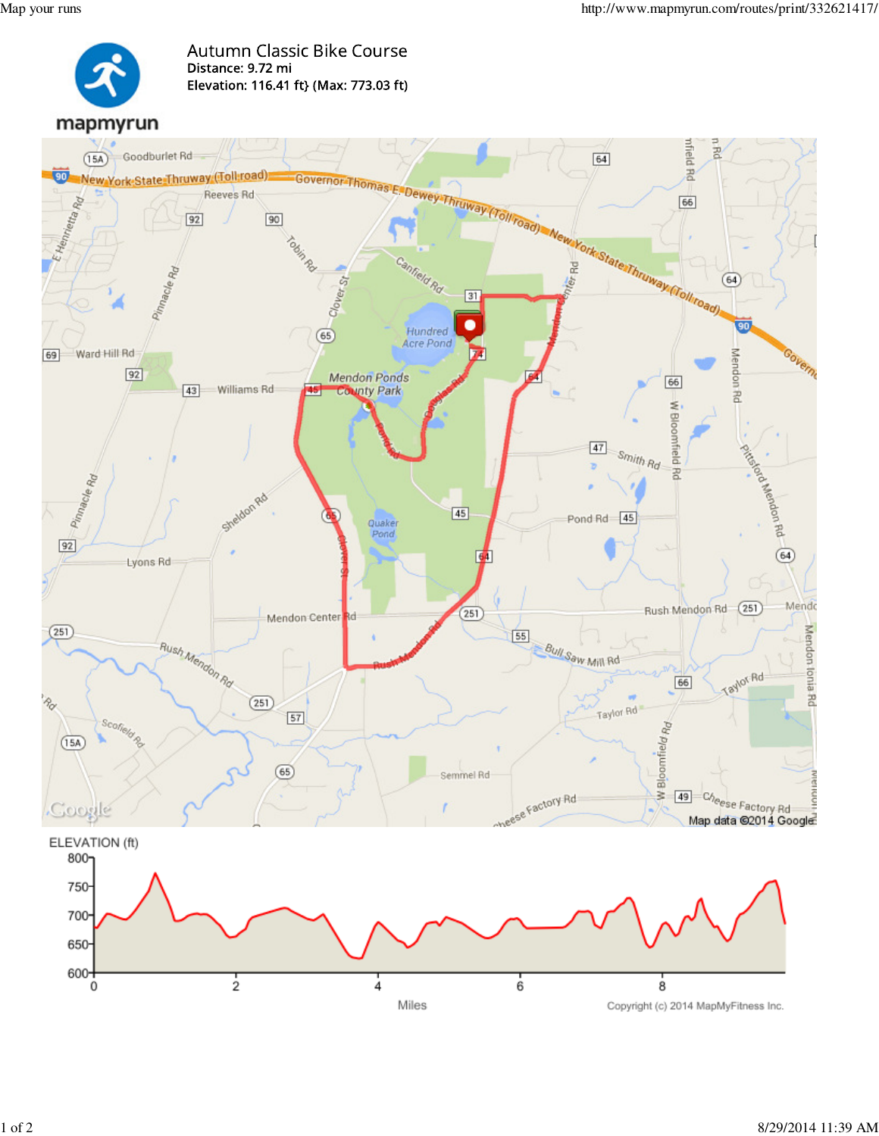

**Autumn Classic Bike Course** Distance: 9.72 mi Elevation: 116.41 ft} (Max: 773.03 ft)